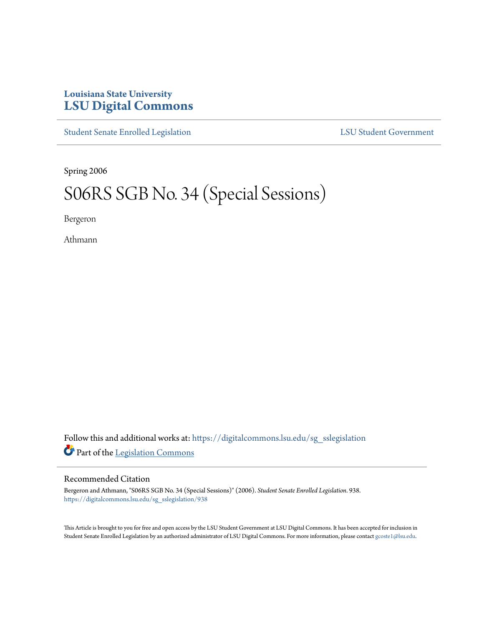## **Louisiana State University [LSU Digital Commons](https://digitalcommons.lsu.edu?utm_source=digitalcommons.lsu.edu%2Fsg_sslegislation%2F938&utm_medium=PDF&utm_campaign=PDFCoverPages)**

[Student Senate Enrolled Legislation](https://digitalcommons.lsu.edu/sg_sslegislation?utm_source=digitalcommons.lsu.edu%2Fsg_sslegislation%2F938&utm_medium=PDF&utm_campaign=PDFCoverPages) [LSU Student Government](https://digitalcommons.lsu.edu/sg?utm_source=digitalcommons.lsu.edu%2Fsg_sslegislation%2F938&utm_medium=PDF&utm_campaign=PDFCoverPages)

Spring 2006

## S06RS SGB No. 34 (Special Sessions)

Bergeron

Athmann

Follow this and additional works at: [https://digitalcommons.lsu.edu/sg\\_sslegislation](https://digitalcommons.lsu.edu/sg_sslegislation?utm_source=digitalcommons.lsu.edu%2Fsg_sslegislation%2F938&utm_medium=PDF&utm_campaign=PDFCoverPages) Part of the [Legislation Commons](http://network.bepress.com/hgg/discipline/859?utm_source=digitalcommons.lsu.edu%2Fsg_sslegislation%2F938&utm_medium=PDF&utm_campaign=PDFCoverPages)

## Recommended Citation

Bergeron and Athmann, "S06RS SGB No. 34 (Special Sessions)" (2006). *Student Senate Enrolled Legislation*. 938. [https://digitalcommons.lsu.edu/sg\\_sslegislation/938](https://digitalcommons.lsu.edu/sg_sslegislation/938?utm_source=digitalcommons.lsu.edu%2Fsg_sslegislation%2F938&utm_medium=PDF&utm_campaign=PDFCoverPages)

This Article is brought to you for free and open access by the LSU Student Government at LSU Digital Commons. It has been accepted for inclusion in Student Senate Enrolled Legislation by an authorized administrator of LSU Digital Commons. For more information, please contact [gcoste1@lsu.edu.](mailto:gcoste1@lsu.edu)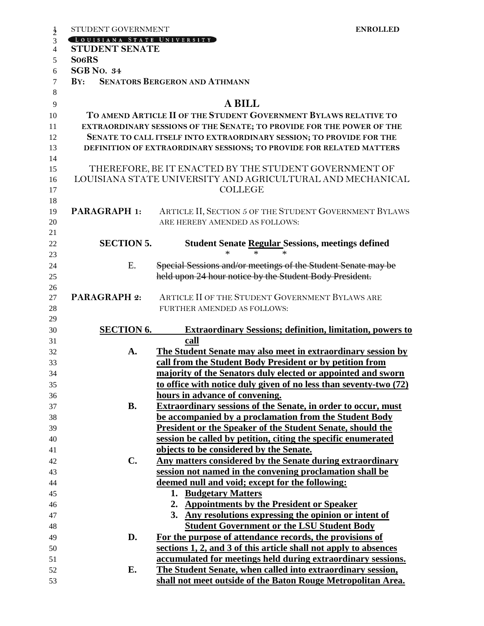| $\frac{1}{2}$  | STUDENT GOVERNMENT                                                    | <b>ENROLLED</b>                                                      |  |
|----------------|-----------------------------------------------------------------------|----------------------------------------------------------------------|--|
| 3              | LOUISIANA STATE UNIVERSITY                                            |                                                                      |  |
| $\overline{4}$ | <b>STUDENT SENATE</b>                                                 |                                                                      |  |
| 5              | So <sub>6</sub> RS                                                    |                                                                      |  |
| 6              | <b>SGB No. 34</b>                                                     |                                                                      |  |
| $\tau$         | BY:                                                                   | <b>SENATORS BERGERON AND ATHMANN</b>                                 |  |
| 8              |                                                                       |                                                                      |  |
| 9              |                                                                       | <b>A BILL</b>                                                        |  |
| 10             |                                                                       | TO AMEND ARTICLE II OF THE STUDENT GOVERNMENT BYLAWS RELATIVE TO     |  |
| 11             | EXTRAORDINARY SESSIONS OF THE SENATE; TO PROVIDE FOR THE POWER OF THE |                                                                      |  |
| 12             | SENATE TO CALL ITSELF INTO EXTRAORDINARY SESSION; TO PROVIDE FOR THE  |                                                                      |  |
| 13             |                                                                       | DEFINITION OF EXTRAORDINARY SESSIONS; TO PROVIDE FOR RELATED MATTERS |  |
| 14             |                                                                       |                                                                      |  |
| 15             |                                                                       | THEREFORE, BE IT ENACTED BY THE STUDENT GOVERNMENT OF                |  |
| 16             |                                                                       | LOUISIANA STATE UNIVERSITY AND AGRICULTURAL AND MECHANICAL           |  |
| 17             |                                                                       | <b>COLLEGE</b>                                                       |  |
| 18             |                                                                       |                                                                      |  |
| 19             | <b>PARAGRAPH 1:</b>                                                   | ARTICLE II, SECTION 5 OF THE STUDENT GOVERNMENT BYLAWS               |  |
| 20             |                                                                       | ARE HEREBY AMENDED AS FOLLOWS:                                       |  |
| 21             |                                                                       |                                                                      |  |
| 22             | <b>SECTION 5.</b>                                                     | <b>Student Senate Regular Sessions, meetings defined</b>             |  |
| 23             |                                                                       | *<br>*                                                               |  |
| 24             | E.                                                                    | Special Sessions and/or meetings of the Student Senate may be        |  |
| 25             |                                                                       | held upon 24 hour notice by the Student Body President.              |  |
| 26             |                                                                       |                                                                      |  |
| 27             | <b>PARAGRAPH 2:</b>                                                   | ARTICLE II OF THE STUDENT GOVERNMENT BYLAWS ARE                      |  |
| 28             |                                                                       | FURTHER AMENDED AS FOLLOWS:                                          |  |
| 29             |                                                                       |                                                                      |  |
| 30             | <b>SECTION 6.</b>                                                     | <b>Extraordinary Sessions; definition, limitation, powers to</b>     |  |
| 31             |                                                                       | call                                                                 |  |
| 32             | A.                                                                    | <b>The Student Senate may also meet in extraordinary session by</b>  |  |
| 33             |                                                                       | call from the Student Body President or by petition from             |  |
| 34             |                                                                       | majority of the Senators duly elected or appointed and sworn         |  |
| 35             |                                                                       | to office with notice duly given of no less than seventy-two (72)    |  |
| 36             |                                                                       | hours in advance of convening.                                       |  |
| 37             | <b>B.</b>                                                             | <b>Extraordinary sessions of the Senate, in order to occur, must</b> |  |
| 38             |                                                                       | be accompanied by a proclamation from the Student Body               |  |
| 39             |                                                                       | <b>President or the Speaker of the Student Senate, should the</b>    |  |
| 40             |                                                                       | session be called by petition, citing the specific enumerated        |  |
| 41             |                                                                       | objects to be considered by the Senate.                              |  |
| 42             | C.                                                                    | Any matters considered by the Senate during extraordinary            |  |
| 43             |                                                                       | session not named in the convening proclamation shall be             |  |
| 44             |                                                                       | deemed null and void; except for the following:                      |  |
| 45             |                                                                       | <b>Budgetary Matters</b><br>1.                                       |  |
| 46             |                                                                       | <b>Appointments by the President or Speaker</b><br>2.                |  |
| 47             |                                                                       | 3. Any resolutions expressing the opinion or intent of               |  |
| 48             |                                                                       | <b>Student Government or the LSU Student Body</b>                    |  |
| 49             | D.                                                                    | For the purpose of attendance records, the provisions of             |  |
| 50             |                                                                       | sections 1, 2, and 3 of this article shall not apply to absences     |  |
| 51             |                                                                       | accumulated for meetings held during extraordinary sessions.         |  |
| 52             | Е.                                                                    | The Student Senate, when called into extraordinary session,          |  |
| 53             |                                                                       | shall not meet outside of the Baton Rouge Metropolitan Area.         |  |